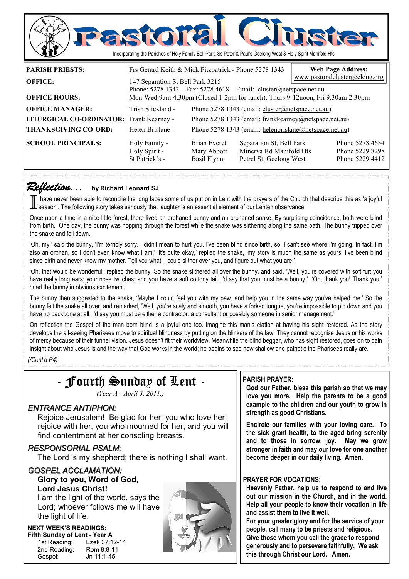

**SCHOOL PRINCIPALS:** Holy Family - Brian Everett Separation St, Bell Park Phone 5278 4634<br>Holy Spirit - Mary Abbott Minerva Rd Manifold Hts Phone 5229 8298

## *Reflection... Reflection...* **by Richard Leonard SJ**

have never been able to reconcile the long faces some of us put on in Lent with the prayers of the Church that describe this as 'a joyful season'. The following story takes seriously that laughter is an essential element of our Lenten observance.

Holy Spirit - Mary Abbott Minerva Rd Manifold Hts

St Patrick's - Basil Flynn Petrel St, Geelong West Phone 5229 4412

Once upon a time in a nice little forest, there lived an orphaned bunny and an orphaned snake. By surprising coincidence, both were blind from birth. One day, the bunny was hopping through the forest while the snake was slithering along the same path. The bunny tripped over the snake and fell down.

'Oh, my,' said the bunny, 'I'm terribly sorry. I didn't mean to hurt you. I've been blind since birth, so, I can't see where I'm going. In fact, I'm also an orphan, so I don't even know what I am.' 'It's quite okay,' replied the snake, 'my story is much the same as yours. I've been blind since birth and never knew my mother. Tell you what, I could slither over you, and figure out what you are.'

'Oh, that would be wonderful.' replied the bunny. So the snake slithered all over the bunny, and said, 'Well, you're covered with soft fur; you have really long ears; your nose twitches; and you have a soft cottony tail. I'd say that you must be a bunny.' 'Oh, thank you! Thank you,' cried the bunny in obvious excitement.

The bunny then suggested to the snake, 'Maybe I could feel you with my paw, and help you in the same way you've helped me.' So the bunny felt the snake all over, and remarked, 'Well, you're scaly and smooth, you have a forked tongue, you're impossible to pin down and you have no backbone at all. I'd say you must be either a contractor, a consultant or possibly someone in senior management.'

On reflection the Gospel of the man born blind is a joyful one too. Imagine this man's elation at having his sight restored. As the story develops the all-seeing Pharisees move to spiritual blindness by putting on the blinkers of the law. They cannot recognise Jesus or his works of mercy because of their tunnel vision. Jesus doesn't fit their worldview. Meanwhile the blind beggar, who has sight restored, goes on to gain insight about who Jesus is and the way that God works in the world; he begins to see how shallow and pathetic the Pharisees really are.

*(/Cont'd P4)* 

# - Fourth Sunday of Lent -

*(Year A - April 3, 2011.)* 

## *ENTRANCE ANTIPHON:*

 Rejoice Jerusalem! Be glad for her, you who love her; rejoice with her, you who mourned for her, and you will find contentment at her consoling breasts.

## *RESPONSORIAL PSALM:*

The Lord is my shepherd; there is nothing I shall want.

# *GOSPEL ACCLAMATION:* **Glory to you, Word of God, Lord Jesus Christ!**

I am the light of the world, says the Lord; whoever follows me will have the light of life.

## **NEXT WEEK'S READINGS:**

**Fifth Sunday of Lent - Year A**  1st Reading: Ezek 37:12-14 2nd Reading: Rom 8:8-11 Gospel: Jn 11:1-45

## **PARISH PRAYER:**

**God our Father, bless this parish so that we may love you more. Help the parents to be a good example to the children and our youth to grow in strength as good Christians.** 

**Encircle our families with your loving care. To the sick grant health, to the aged bring serenity and to those in sorrow, joy. May we grow stronger in faith and may our love for one another become deeper in our daily living. Amen.** 

## **PRAYER FOR VOCATIONS:**

**Heavenly Father, help us to respond to and live out our mission in the Church, and in the world. Help all your people to know their vocation in life and assist them to live it well.** 

**For your greater glory and for the service of your people, call many to be priests and religious. Give those whom you call the grace to respond generously and to persevere faithfully. We ask this through Christ our Lord. Amen.** 

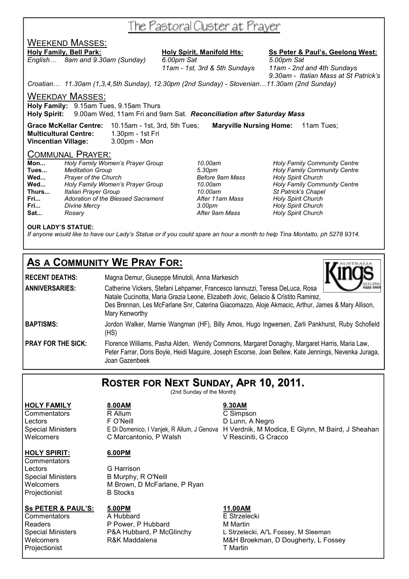# The Pastoral Cluster at Prayer

# WEEKEND MASSES:

*English… 8am and 9.30am (Sunday) 6.00pm Sat 5.00pm Sat 11am - 1st, 3rd & 5th Sundays 11am - 2nd and 4th Sundays* 

# Holy Family, Bell Park: **Holy Spirit, Manifold Hts:** Ss Peter & Paul's, Geelong West:

 *9.30am - Italian Mass at St Patrick's* 

*Croatian… 11.30am (1,3,4,5th Sunday), 12.30pm (2nd Sunday) - Slovenian…11.30am (2nd Sunday)* 

### WEEKDAY MASSES:

**Holy Family:** 9.15am Tues, 9.15am Thurs

**Holy Spirit:** 9.00am Wed, 11am Fri and 9am Sat. *Reconciliation after Saturday Mass* 

**Grace McKellar Centre:** 10.15am - 1st, 3rd, 5th Tues; **Maryville Nursing Home:** 11am Tues; **Multicultural Centre:** 1.30pm - 1st Fri **Vincentian Village:** 3.00pm - Mon

# COMMUNAL PRAYER:

| Mon   | Holy Family Women's Prayer Group   | 10.00am         | <b>Holy Family Community Centre</b> |
|-------|------------------------------------|-----------------|-------------------------------------|
| Tues  | <b>Meditation Group</b>            | 5.30pm          | <b>Holy Family Community Centre</b> |
| Wed   | Prayer of the Church               | Before 9am Mass | <b>Holy Spirit Church</b>           |
| Wed   | Holy Family Women's Prayer Group   | 10.00am         | <b>Holy Family Community Centre</b> |
| Thurs | Italian Prayer Group               | 10.00am         | St Patrick's Chapel                 |
| Fri   | Adoration of the Blessed Sacrament | After 11am Mass | <b>Holy Spirit Church</b>           |
| Fri   | Divine Mercy                       | 3.00pm          | <b>Holy Spirit Church</b>           |
| Sat   | Rosarv                             | After 9am Mass  | <b>Holy Spirit Church</b>           |
|       |                                    |                 |                                     |

### **OUR LADY'S STATUE:**

*If anyone would like to have our Lady's Statue or if you could spare an hour a month to help Tina Montalto, ph 5278 9314.* 

# **AS A COMMUNITY WE PRAY FOR:**

**RECENT DEATHS:** Magna Demur, Giuseppe Minutoli, Anna Markesich

| <b>ANNIVERSARIES:</b>     | Catherine Vickers, Stefani Lehpamer, Francesco lannuzzi, Teresa DeLuca, Rosa<br>Natale Cucinotta, Maria Grazia Leone, Elizabeth Jovic, Gelacio & Cristito Ramirez,<br>Des Brennan, Les McFarlane Snr, Caterina Giacomazzo, Aloje Akmacic, Arthur, James & Mary Allison,<br>Mary Kenworthy |  |  |
|---------------------------|-------------------------------------------------------------------------------------------------------------------------------------------------------------------------------------------------------------------------------------------------------------------------------------------|--|--|
| <b>BAPTISMS:</b>          | Jordon Walker, Marnie Wangman (HF), Billy Amos, Hugo Ingwersen, Zarli Pankhurst, Ruby Schofield<br>(HS)                                                                                                                                                                                   |  |  |
| <b>PRAY FOR THE SICK:</b> | Florence Williams, Pasha Alden, Wendy Commons, Margaret Donaghy, Margaret Harris, Maria Law,<br>Peter Farrar, Doris Boyle, Heidi Maguire, Joseph Escorse, Joan Bellew, Kate Jennings, Nevenka Juraga,<br>Joan Gazenbeek                                                                   |  |  |

# **ROSTER FOR NEXT SUNDAY, APR 10, 2011.**

(2nd Sunday of the Month**)** 

### **HOLY SPIRIT: 6.00PM**

**Commentators** Lectors **G** Harrison Projectionist B Stocks

### **Ss PETER & PAUL'S: 5.00PM 11.00AM**

Projectionist T Martin

# **HOLY FAMILY 8.00AM 9.30AM** Commentators R Allum C Simpson Lectors **FO'Neill** F O'Neill **D** Lunn, A Negro Welcomers C Marcantonio, P Walsh V Resciniti, G Cracco

Special Ministers E Di Domenico, I Vanjek, R Allum, J Genova H Verdnik, M Modica, E Glynn, M Baird, J Sheahan

Special Ministers B Murphy, R O'Neill Welcomers M Brown, D McFarlane, P Ryan

Commentators A Hubbard E Strzelecki Readers **P Power, P Hubbard** M Martin

Special Ministers **P&A Hubbard, P McGlinchy Let L Strzelecki, A/'L Fossey, M Sleeman** Welcomers **R&K Maddalena** M&H Broekman, D Dougherty, L Fossey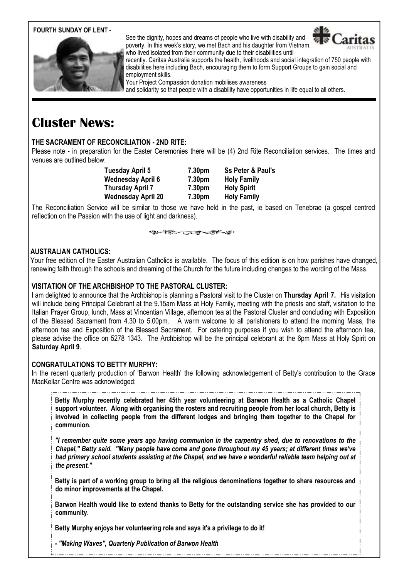**FOURTH SUNDAY OF LENT -** 



See the dignity, hopes and dreams of people who live with disability and poverty. In this week's story, we met Bach and his daughter from Vietnam, who lived isolated from their community due to their disabilities until



recently. Caritas Australia supports the health, livelihoods and social integration of 750 people with disabilities here including Bach, encouraging them to form Support Groups to gain social and employment skills.

Your Project Compassion donation mobilises awareness

and solidarity so that people with a disability have opportunities in life equal to all others.

# **Cluster News:**

# **THE SACRAMENT OF RECONCILIATION - 2ND RITE:**

Please note - in preparation for the Easter Ceremonies there will be (4) 2nd Rite Reconciliation services. The times and venues are outlined below:

| Tuesday April 5           | 7.30pm | Ss Peter & Paul's  |
|---------------------------|--------|--------------------|
| <b>Wednesday April 6</b>  | 7.30pm | <b>Holy Family</b> |
| <b>Thursday April 7</b>   | 7.30pm | <b>Holy Spirit</b> |
| <b>Wednesday April 20</b> | 7.30pm | <b>Holy Family</b> |

The Reconciliation Service will be similar to those we have held in the past, ie based on Tenebrae (a gospel centred reflection on the Passion with the use of light and darkness).

یکی دیکھیے

# **AUSTRALIAN CATHOLICS:**

Your free edition of the Easter Australian Catholics is available. The focus of this edition is on how parishes have changed, renewing faith through the schools and dreaming of the Church for the future including changes to the wording of the Mass.

# **VISITATION OF THE ARCHBISHOP TO THE PASTORAL CLUSTER:**

I am delighted to announce that the Archbishop is planning a Pastoral visit to the Cluster on **Thursday April 7.** His visitation will include being Principal Celebrant at the 9.15am Mass at Holy Family, meeting with the priests and staff, visitation to the Italian Prayer Group, lunch, Mass at Vincentian Village, afternoon tea at the Pastoral Cluster and concluding with Exposition of the Blessed Sacrament from 4.30 to 5.00pm. A warm welcome to all parishioners to attend the morning Mass, the afternoon tea and Exposition of the Blessed Sacrament. For catering purposes if you wish to attend the afternoon tea, please advise the office on 5278 1343. The Archbishop will be the principal celebrant at the 6pm Mass at Holy Spirit on **Saturday April 9**.

## **CONGRATULATIONS TO BETTY MURPHY:**

In the recent quarterly production of 'Barwon Health' the following acknowledgement of Betty's contribution to the Grace MacKellar Centre was acknowledged:

**Betty Murphy recently celebrated her 45th year volunteering at Barwon Health as a Catholic Chapel support volunteer. Along with organising the rosters and recruiting people from her local church, Betty is involved in collecting people from the different lodges and bringing them together to the Chapel for communion.** 

*"I remember quite some years ago having communion in the carpentry shed, due to renovations to the Chapel," Betty said. "Many people have come and gone throughout my 45 years; at different times we've had primary school students assisting at the Chapel, and we have a wonderful reliable team helping out at the present."* 

**Betty is part of a working group to bring all the religious denominations together to share resources and do minor improvements at the Chapel.** 

**Barwon Health would like to extend thanks to Betty for the outstanding service she has provided to our community.** 

**Betty Murphy enjoys her volunteering role and says it's a privilege to do it!** 

*- "Making Waves", Quarterly Publication of Barwon Health*